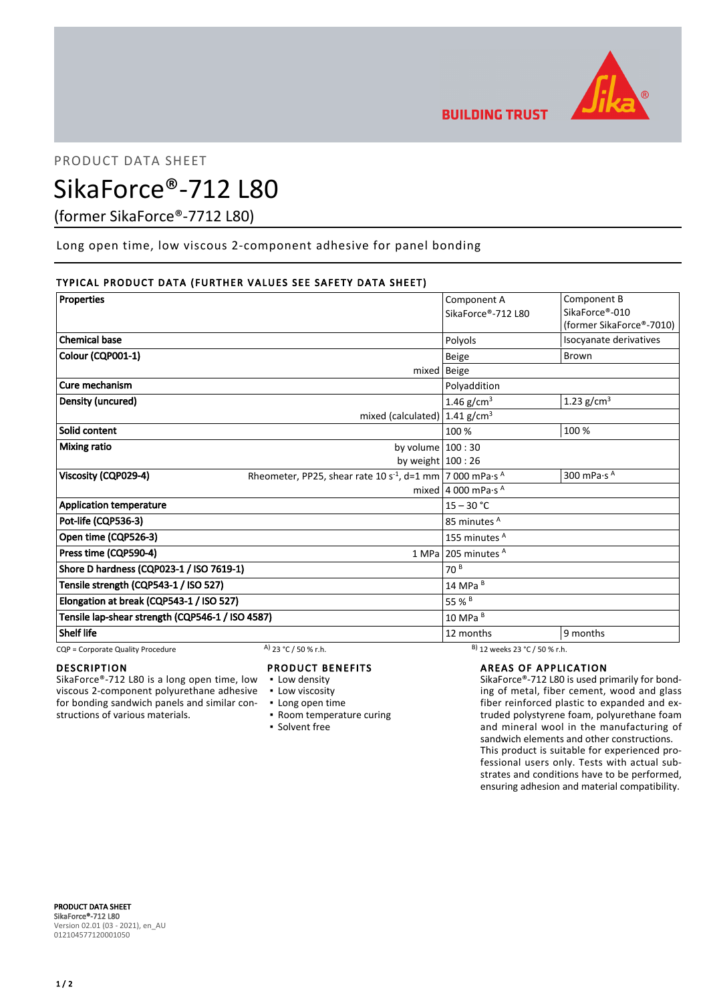

PRODUCT DATA SHEET

# SikaForce®-712 L80

(former SikaForce®-7712 L80)

Long open time, low viscous 2-component adhesive for panel bonding

# TYPICAL PRODUCT DATA (FURTHER VALUES SEE SAFETY DATA SHEET)

| <b>Properties</b>                                |                                                                                    | Component A                               | Component B              |
|--------------------------------------------------|------------------------------------------------------------------------------------|-------------------------------------------|--------------------------|
|                                                  |                                                                                    | SikaForce®-712 L80                        | SikaForce®-010           |
|                                                  |                                                                                    |                                           | (former SikaForce®-7010) |
| <b>Chemical base</b>                             |                                                                                    | Polyols                                   | Isocyanate derivatives   |
| Colour (CQP001-1)                                |                                                                                    | <b>Beige</b>                              | Brown                    |
|                                                  |                                                                                    | $mixed$ Beige                             |                          |
| Cure mechanism                                   |                                                                                    | Polyaddition                              |                          |
| Density (uncured)                                |                                                                                    | 1.46 $g/cm^{3}$                           | 1.23 $g/cm3$             |
|                                                  | mixed (calculated) $1.41$ g/cm <sup>3</sup>                                        |                                           |                          |
| Solid content                                    |                                                                                    | 100 %                                     | 100 %                    |
| <b>Mixing ratio</b>                              | by volume $100:30$                                                                 |                                           |                          |
|                                                  | by weight $100:26$                                                                 |                                           |                          |
| Viscosity (CQP029-4)                             | Rheometer, PP25, shear rate 10 s <sup>-1</sup> , d=1 mm   7 000 mPa·s <sup>A</sup> |                                           | 300 mPa $\cdot$ s A      |
|                                                  |                                                                                    | mixed 4 000 mPa $\cdot$ s <sup>A</sup>    |                          |
| <b>Application temperature</b>                   |                                                                                    | $15 - 30 °C$                              |                          |
| Pot-life (CQP536-3)                              |                                                                                    | 85 minutes A                              |                          |
| Open time (CQP526-3)                             |                                                                                    | 155 minutes <sup>A</sup>                  |                          |
| Press time (CQP590-4)                            |                                                                                    | 1 MPa 205 minutes $A$                     |                          |
| Shore D hardness (CQP023-1 / ISO 7619-1)         |                                                                                    | 70 <sup>8</sup>                           |                          |
| Tensile strength (CQP543-1 / ISO 527)            |                                                                                    | 14 MPa B                                  |                          |
| Elongation at break (CQP543-1 / ISO 527)         |                                                                                    | 55 % B                                    |                          |
| Tensile lap-shear strength (CQP546-1 / ISO 4587) |                                                                                    | 10 MPa B                                  |                          |
| <b>Shelf life</b>                                |                                                                                    | 12 months                                 | 9 months                 |
| CQP = Corporate Quality Procedure                | A) 23 °C / 50 % r.h.                                                               | <sup>B</sup> ) 12 weeks 23 °C / 50 % r.h. |                          |

# DESCRIPTION

SikaForce®-712 L80 is a long open time, low viscous 2-component polyurethane adhesive for bonding sandwich panels and similar constructions of various materials.

## PRODUCT BENEFITS

- **Low density**
- **Low viscosity**
- **Long open time**
- Room temperature curing
- Solvent free

## AREAS OF APPLICATION

SikaForce®-712 L80 is used primarily for bonding of metal, fiber cement, wood and glass fiber reinforced plastic to expanded and extruded polystyrene foam, polyurethane foam and mineral wool in the manufacturing of sandwich elements and other constructions. This product is suitable for experienced professional users only. Tests with actual substrates and conditions have to be performed, ensuring adhesion and material compatibility.

PRODUCT DATA SHEET SikaForce®-712 L80 Version 02.01 (03 - 2021), en\_AU 012104577120001050